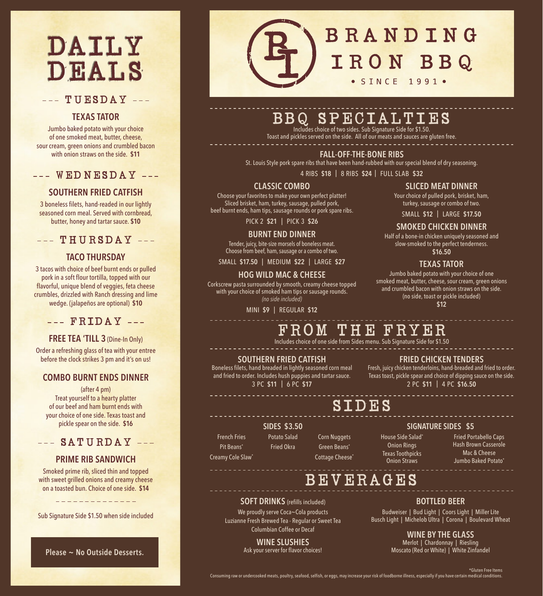# DAILY DEALS

## $TUTESDAY$  ---

## **TEXAS TATOR**

Jumbo baked potato with your choice of one smoked meat, butter, cheese, sour cream, green onions and crumbled bacon with onion straws on the side. **\$11**

--- WEDNESDAY ---

## **SOUTHERN FRIED CATFISH**

3 boneless filets, hand-readed in our lightly seasoned corn meal. Served with cornbread, butter, honey and tartar sauce. **\$10**

## $---$  THURSDAY  $---$

## **TACO THURSDAY**

3 tacos with choice of beef burnt ends or pulled pork in a soft flour tortilla, topped with our flavorful, unique blend of veggies, feta cheese crumbles, drizzled with Ranch dressing and lime wedge. (jalapeños are optional) **\$10**

## $-- F$ RIDAY  $---$

## **FREE TEA 'TILL 3** (Dine-In Only)

Order a refreshing glass of tea with your entree before the clock strikes 3 pm and it's on us!

## **COMBO BURNT ENDS DINNER**

(after 4 pm) Treat yourself to a hearty platter of our beef and ham burnt ends with your choice of one side. Texas toast and pickle spear on the side. **\$16** 

## $---$  SATURDAY  $---$

## **PRIME RIB SANDWICH**

Smoked prime rib, sliced thin and topped with sweet grilled onions and creamy cheese on a toasted bun. Choice of one side. **\$14**

<u>\_\_\_\_\_\_\_\_\_\_\_\_\_</u>

Sub Signature Side \$1.50 when side included

**Please ~ No Outside Desserts.**

## BRANDING L SINCE 1991.

## BBQ SPECIALTIES Includes choice of two sides. Sub Signature Side for \$1.50.

Toast and pickles served on the side. All of our meats and sauces are gluten free.

## **FALL-OFF-THE-BONE RIBS**

St. Louis Style pork spare ribs that have been hand-rubbed with our special blend of dry seasoning.

4 RIBS **\$18** | 8 RIBS **\$24** | FULL SLAB **\$32**

## **CLASSIC COMBO**

Choose your favorites to make your own perfect platter! Sliced brisket, ham, turkey, sausage, pulled pork, beef burnt ends, ham tips, sausage rounds or pork spare ribs.

PICK 2 **\$21** | PICK 3 **\$26**

**BURNT END DINNER**

Tender, juicy, bite-size morsels of boneless meat. Choose from beef, ham, sausage or a combo of two.

SMALL **\$17.50** | MEDIUM **\$22** | LARGE **\$27**

### **HOG WILD MAC & CHEESE**

Corkscrew pasta surrounded by smooth, creamy cheese topped with your choice of smoked ham tips or sausage rounds. *(no side included)*

#### MINI **\$9** | REGULAR **\$12**

## **SLICED MEAT DINNER**

Your choice of pulled pork, brisket, ham, turkey, sausage or combo of two.

SMALL **\$12** | LARGE **\$17.50**

## **SMOKED CHICKEN DINNER**

Half of a bone-in chicken uniquely seasoned and slow-smoked to the perfect tenderness. **\$16.50**

### **TEXAS TATOR**

Jumbo baked potato with your choice of one smoked meat, butter, cheese, sour cream, green onions and crumbled bacon with onion straws on the side. (no side, toast or pickle included)

**\$12**

## FROM THE FRYER

Includes choice of one side from Sides menu. Sub Signature Side for \$1.50

#### **SOUTHERN FRIED CATFISH**

Boneless filets, hand breaded in lightly seasoned corn meal and fried to order. Includes hush puppies and tartar sauce. 3 PC **\$11** | 6 PC **\$17**

**FRIED CHICKEN TENDERS**

Fresh, juicy chicken tenderloins, hand-breaded and fried to order. Texas toast, pickle spear and choice of dipping sauce on the side. 2 PC **\$11** | 4 PC **\$16.50**

## SIDES

#### **SIDES \$3.50** Potato Salad

Fried Okra

French Fries Pit Beans\* Creamy Cole Slaw\*

Corn Nuggets Green Beans\* Cottage Cheese\* House Side Salad\* Onion Rings Texas Toothpicks Onion Straws

**SIGNATURE SIDES \$5**

Fried Portabello Caps Hash Brown Casserole Mac & Cheese Jumbo Baked Potato\*

## BEVERAGES

### **SOFT DRINKS** (refills included)

We proudly serve Coca~Cola products Luzianne Fresh Brewed Tea - Regular or Sweet Tea Columbian Coffee or Decaf

## **WINE SLUSHIES**

Ask your server for flavor choices!

## **BOTTLED BEER**

Budweiser | Bud Light | Coors Light | Miller Lite Busch Light | Michelob Ultra | Corona | Boulevard Wheat

## **WINE BY THE GLASS**

Merlot | Chardonnay | Riesling Moscato (Red or White) | White Zinfandel

#### \*Gluten Free Items Consuming raw or undercooked meats, poultry, seafood, selfish, or eggs, may increase your risk of foodborne illness, especially if you have certain medical conditions.